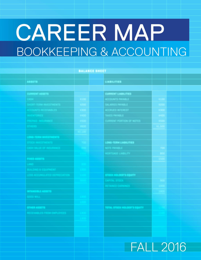# Bookkeeping & Accounting **CAREER MAP**

|                                                         | <b>BALANCE SHEET</b> |                                                                                                                                        |  |
|---------------------------------------------------------|----------------------|----------------------------------------------------------------------------------------------------------------------------------------|--|
|                                                         |                      |                                                                                                                                        |  |
| <b>ABBETS</b>                                           |                      | LIABILITIES                                                                                                                            |  |
|                                                         |                      |                                                                                                                                        |  |
| CURRENT ASSETS                                          |                      |                                                                                                                                        |  |
|                                                         |                      |                                                                                                                                        |  |
| والمتحدث والمتحدث المستحد                               |                      |                                                                                                                                        |  |
|                                                         |                      | <b>CURRENT LIABILITIES<br/>ACCOUNTS PAYABLE<br/>SALARIES PAYABLE<br/>ACCRUED INTEREST<br/>TAXES PAYABLE</b><br>CURRENT PORTION OF NOTI |  |
|                                                         |                      |                                                                                                                                        |  |
| <u>retten ester</u>                                     |                      |                                                                                                                                        |  |
|                                                         |                      |                                                                                                                                        |  |
|                                                         |                      |                                                                                                                                        |  |
| LONG-TERM INVESTIGATION                                 |                      |                                                                                                                                        |  |
|                                                         |                      |                                                                                                                                        |  |
| <u>an dia kaominina mpikambana amin'ny fivondronan-</u> |                      | LONG-TERM LIABILITIES<br>NOTE PAYABLE<br>MORTGAGE LIABILITY                                                                            |  |
|                                                         |                      |                                                                                                                                        |  |
| <u> Conta Alban (</u>                                   |                      |                                                                                                                                        |  |
|                                                         |                      |                                                                                                                                        |  |
|                                                         |                      |                                                                                                                                        |  |
|                                                         |                      | STOCK HOLDER'S EQUITY<br>CAPITAL STOCK<br>RETAINED EARNINGS                                                                            |  |
|                                                         |                      |                                                                                                                                        |  |
|                                                         |                      |                                                                                                                                        |  |
| <b>MANUFACTURE</b>                                      |                      |                                                                                                                                        |  |
|                                                         |                      |                                                                                                                                        |  |
|                                                         |                      |                                                                                                                                        |  |
|                                                         |                      | TOTAL STOCK HOLDER'S EQUITY                                                                                                            |  |
| <b>ETHER ABBETS</b><br>RECEIVABLES FROM EMPLOY          |                      |                                                                                                                                        |  |
|                                                         |                      |                                                                                                                                        |  |
|                                                         |                      |                                                                                                                                        |  |
|                                                         |                      |                                                                                                                                        |  |
|                                                         |                      |                                                                                                                                        |  |

FALL 2016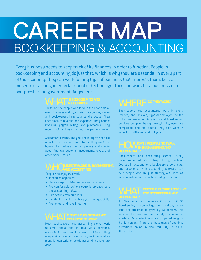## **CAREER MAP** Bookkeeping & Accounting

Every business needs to keep track of its finances in order to function. People in bookkeeping and accounting do just that, which is why they are essential in every part of the economy. They can work for any type of business that interests them, be it a museum or a bank, in entertainment or technology. They can work for a business or a non-profit or the government. Anywhere.

These are the people who tend to the financials of every business and organization. Accounting clerks and bookkeepers help balance the books. They keep track of revenue and expenses. They handle invoicing, payroll, billing, and purchasing. They record profit and loss. They work as part of a team.

Accountants create, analyze, and interpret financial reports. They prepare tax returns. They audit the books. They advise their employers and clients about financial systems, investments, taxes, and other money issues.

People who enjoy this work:

- Tend to be organized
- Have an eye for detail and are very accurate
- Are comfortable using electronic spreadsheets and accounting software
- • Like dealing with numbers
- Can think critically and have good analytic skills
- Are honest and have integrity

Most bookkeepers and accounting clerks work full-time. About one in four work part-time. Accountants and auditors work full-time. They may work additional hours during tax time or when monthly, quarterly, or yearly accounting audits are done.

Bookkeepers and accountants work in every industry and for every type of employer. The top industries are accounting firms and bookkeeping services, company headquarters, banks, insurance companies, and real estate. They also work in schools, health care, and colleges.

Bookkeepers and accounting clerks usually have some education beyond high school. Courses in accounting, a bookkeeping certificate, and experience with accounting software can help people who are just starting out. Jobs as accountants require a bachelor's degree or more.

In New York City between 2012 and 2022, bookkeeping, accounting, and auditing clerk jobs are projected to grow by 13 percent. This is about the same rate as the City's economy as a whole. Accountant jobs are projected to grow by 21 percent. There are thousands of openings advertised online in New York City for all of these jobs.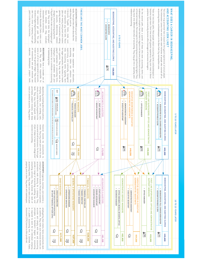| \$171,300<br>\$107,300<br>心<br>흐      | as auditors. They make sure financial records are<br>is required to work for an individual company<br>accurate and comply with laws and accounting<br>Accountant (CPA) license is often preferred.<br>or a public accounting firm. A Certified Public<br>principles. A bachelor's degree in accounting<br>employed by their clients. Some accountants work<br>⇘<br>⊴ | accountants work directly for a company. They<br>accounting clerks. They make sure taxes are paid<br>provide a range of accounting, auditing, tax, and<br>company's financial records. Private (or corporate)<br>ACCOUNTANTS organize, maintain, and examine a<br>properly and on time. They work with bookkeepers<br>consulting services. They oversee the work of<br>CHIEF EXECUTIVES<br>GENERAL & OPERATIONS MANAGERS<br>$\begin{array}{c} + \end{array}$<br>$\ddot{}$<br>÷<br>÷<br>OPERATIONS DIRECTOR<br><b>OPERATIONS MANAGER</b><br>CHIEF EXECUTIVE OFFICER (CEO)<br>OR CHIEF FINANCIAL OFFICER [CFO]<br>EXECUTIVE DIRECTOR | 厚       | of job, it helps to have some college-level<br>or several small busine sses. For this type<br>review. They may work part-time for one<br>financial records for accountants to<br>$\mathbb{Q}$<br>≤<br>BACHELOR'S DEGREE<br>한 | $\frac{1}{2}$ GERTIFICATE OR LICENSE<br>courses in accounting | purchases, prepare invoices, and keep<br>bank. They may handle payroll, make<br>deposits by compiling data from cashiers,<br>checks, or other forms of payment to the<br>track of overdue accounts. They prepare<br>PAY SHOWN IN THE BOXES IS THE MEDIAN ANNUAL PAY FOR EACH OCCUPATION COLLECTED BY PAYSCALE.<br><b>Kill</b><br>÷<br>FINANCIAL CONTROLLER<br>pue<br>SOME COLLEGE<br>OR ASSOCIATE DEGREE<br>sending<br>cash, | veritying receipts,<br>KEY<br>H <sub>96</sub><br>BECOME | known as the general ledger. They record<br>skills.<br>BOOKKEEPERS have a broader set of<br>care systems. They may also work for<br>supervisory, and eventually, managerial<br>expenses.<br>all transactions and post revenues and<br>some or all of an organization's accounts,<br>or bookkeeping helps.<br>experience, but a certificate in accounting<br>Employers prefer candidates with prior<br>payroll companies or accounting firms.<br>for larger companies, like banks or health<br>accounting<br>With more<br>roles.<br>Accounting clerks typically work<br>They are often responsible for<br>Bookkeepers prepare<br>experience and education,<br>clerks can advance into<br>bank | work they do, such as<br>tasks. Their job titles often describe the<br>Accounts Receivable Clerks make sure<br>timesheets for correctness<br>Payroll Clerks make sure employees get<br>charges, and processing payments.<br>Accounts Payable Clerks make sure<br>paid in order to stay in business.<br>and trust, since a company must get<br>involves a higher degree of responsibility<br>posting details of transactions, adding<br>jobs are mostly entry-level and involve<br>their companies pay their bills. These<br>their companies<br>sunou<br>paid. They enter data, like employees<br>up accounts,<br>worked, and they evaluate<br>determining interest<br>get paid.<br>This<br>iol |
|---------------------------------------|----------------------------------------------------------------------------------------------------------------------------------------------------------------------------------------------------------------------------------------------------------------------------------------------------------------------------------------------------------------------|------------------------------------------------------------------------------------------------------------------------------------------------------------------------------------------------------------------------------------------------------------------------------------------------------------------------------------------------------------------------------------------------------------------------------------------------------------------------------------------------------------------------------------------------------------------------------------------------------------------------------------|---------|------------------------------------------------------------------------------------------------------------------------------------------------------------------------------------------------------------------------------|---------------------------------------------------------------|------------------------------------------------------------------------------------------------------------------------------------------------------------------------------------------------------------------------------------------------------------------------------------------------------------------------------------------------------------------------------------------------------------------------------|---------------------------------------------------------|----------------------------------------------------------------------------------------------------------------------------------------------------------------------------------------------------------------------------------------------------------------------------------------------------------------------------------------------------------------------------------------------------------------------------------------------------------------------------------------------------------------------------------------------------------------------------------------------------------------------------------------------------------------------------------------------|------------------------------------------------------------------------------------------------------------------------------------------------------------------------------------------------------------------------------------------------------------------------------------------------------------------------------------------------------------------------------------------------------------------------------------------------------------------------------------------------------------------------------------------------------------------------------------------------------------------------------------------------------------------------------------------------|
| \$108,500<br>≤<br>\$81,200<br>Ā<br>心  | OFFICE MANAGER, MEDICAL OR DENTAL OFFICE<br>⊴<br>⇘                                                                                                                                                                                                                                                                                                                   | <b>FINANCIAL MANAGERS</b><br><b>ACCOUNTANTS &amp; AUDITORS</b><br>$\div$<br>$\ddot{\phantom{0}}$<br>$\begin{array}{c} + \end{array}$<br>+ ACCOUNTING MANAGER<br>+ SENIOR ACCOUNTANT<br>+ STAFF ACCOUNTANT<br>÷<br>$\ddot{}$<br>FINANCE MANAGER<br>FINANCE DIRECTOR<br>FINANCIAL CONTROLLER<br>BUSINESS MANAGER                                                                                                                                                                                                                                                                                                                     |         | Q<br>\$82<br>\$73,<br>ă<br>å                                                                                                                                                                                                 |                                                               | FINANCIAL MANAGERS<br><b>ACCOUNTANTS &amp; AUDITORS</b><br>+ FINANCE MANAGER<br>$\ddot{\phantom{0}}$<br>$\begin{array}{c} + \end{array}$<br>SENIOR ACCOUNTANT<br>STAFF ACCOUNTANT                                                                                                                                                                                                                                            | 22%<br>BECOME                                           | <b>Kill</b><br>\$38,000                                                                                                                                                                                                                                                                                                                                                                                                                                                                                                                                                                                                                                                                      | ACCOUNTING CLERKS carry out various<br>THESE ARE THE MOST COMMON JOBS<br>BOOKKEEPING, ACCOUNTING, AND AUDITING CLERKS<br>$\ddot{\phantom{0}}$<br>+ BOOKKEEPER<br><b>ACCOUNTING CLERK</b><br><b>OTO 5 YEARS</b>                                                                                                                                                                                                                                                                                                                                                                                                                                                                                 |
| \$62,800<br>\$53,300<br>∬<br>\$54,500 | <b>Kill</b>                                                                                                                                                                                                                                                                                                                                                          | <b>ADMINISTRATIVE ASSISTANTS</b><br>EXECUTIVE SECRETARIES & EXECUTIVE<br>SUPPORT WORKERS<br>FIRST-LINE SUPERVISORS: OFFICE AND ADMINISTRATIVE<br><b>ADMINISTRATIVE SERVICE MANAGERS</b><br>$\begin{array}{c} + \end{array}$<br>÷<br><b><i>OFFICE MANAGER</i></b><br>EXECUTIVE ASSISTANT<br><b>ADMINISTRATIVE ASSISTANT</b>                                                                                                                                                                                                                                                                                                         | 標<br>S. | 窗<br><b>Kill</b><br>\$49,500<br>Sth\$<br>go                                                                                                                                                                                  |                                                               | <b>ADMINISTRATIVE ASSISTANTS</b><br>EXECUTIVE SECRETARIES & EXECUTIVE<br>SUPPORT WORKERS<br>FIRST-LINE SUPERVISORS: OFFICE AND ADMINISTRATIVE<br>$\begin{array}{c} + \end{array}$<br>$\begin{array}{c} + \end{array}$<br>EXECUTIVE ASSISTANT<br>ADMINISTRATIVE ASSISTANT<br><b><i>OFFICE MANAGER</i></b>                                                                                                                     | <b>SP</b><br>BECOME<br>12%<br>BECOME                    |                                                                                                                                                                                                                                                                                                                                                                                                                                                                                                                                                                                                                                                                                              | related to accounting<br>or financial managers. The earnings for this second group are significantly higher. They<br>bookkeepers complete their bachelor's degrees and become professional accountants<br>may move into different branches of accounting. They may go into a specialty area<br>On the second path, about a quarter of those who were accounting clerks and<br>positions. Some eventually become office managers or business managers.<br>become supervisors. Over time and with greater experience, they earn more in these<br>There are two clear paths. Most people remain accounting clerks and bookkeepers or                                                              |
| \$45,600                              | BOOKKEEPER & FULL CHARGE BOOKKEEPER<br>10 TO 15 YEARS LATER<br><b>Kill</b>                                                                                                                                                                                                                                                                                           | BOOKKEEPING, ACCOUNTING, AND AUDITING CLERKS<br>+ ACCOUNTS PAYABLE CLERK<br>$^{\mathrm{+}}$                                                                                                                                                                                                                                                                                                                                                                                                                                                                                                                                        |         | <b>Kill</b><br>\$43,500                                                                                                                                                                                                      | 5 TO 10 YEARS LATER                                           | BOOKKEEPING, ACCOUNTING, AND AUDITING CLERKS<br>$\begin{array}{c} + \end{array}$<br>$\begin{array}{c} + \end{array}$<br>BOOKKEEPER & FULL CHARGE BOOKKEEPER<br>ACCOUNTS PAYABLE CLERK                                                                                                                                                                                                                                        | 42%<br>REMAIN                                           |                                                                                                                                                                                                                                                                                                                                                                                                                                                                                                                                                                                                                                                                                              | accounting clerks and bookkeepers in the New York City metropolitan area.<br>AND ACCOUNTING LOOK LIKE?<br>The information comes from real online work histories of people who started off as<br>The career map presented here is based on the typical experiences of actual people.<br>WHAT DOES A CAREER IN BOOKKEFPING                                                                                                                                                                                                                                                                                                                                                                       |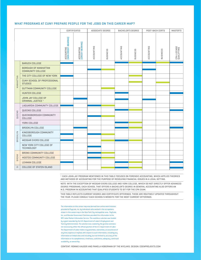## WHAT PROGRAMS AT CUNY PREPARE PEOPLE FOR THE JOBS ON THIS CAREER MAP?

|                     |                                                         | CERTIFICATES                       |                                | ASSOCIATE DEGREE |                 |            | <b>BACHELOR'S DEGREE</b> | POST-BACH CERTS |          | MASTER'S                  |
|---------------------|---------------------------------------------------------|------------------------------------|--------------------------------|------------------|-----------------|------------|--------------------------|-----------------|----------|---------------------------|
|                     |                                                         | ACCOUNTING<br>[NON CREDIT-BEARING] | accounting<br>[Credit-Bearing] | ACCOUNTING       | <b>BUSINESS</b> | ACCOUNTING | <b>BUSINESS</b>          | ACCOUNTING      | BUSINESS | CPA LICENSE<br>QUALIFYING |
|                     | <b>BARUCH COLLEGE</b>                                   |                                    |                                |                  |                 |            |                          |                 |          |                           |
| MANHATTAN           | <b>BOROUGH OF MANHATTAN</b><br><b>COMMUNITY COLLEGE</b> |                                    |                                |                  |                 |            |                          |                 |          |                           |
|                     | THE CITY COLLEGE OF NEW YORK                            |                                    |                                |                  |                 |            |                          |                 |          |                           |
|                     | CUNY SCHOOL OF PROFESSIONAL<br><b>STUDIES</b>           |                                    |                                |                  |                 |            |                          |                 |          |                           |
|                     | <b>GUTTMAN COMMUNITY COLLEGE</b>                        |                                    |                                |                  |                 |            |                          |                 |          |                           |
|                     | <b>HUNTER COLLEGE</b>                                   |                                    |                                |                  |                 |            |                          |                 |          |                           |
|                     | JOHN JAY COLLEGE OF<br>CRIMINAL JUSTICE <sup>1</sup>    |                                    |                                |                  |                 |            |                          |                 |          |                           |
|                     | LAGUARDIA COMMUNITY COLLEGE                             |                                    |                                |                  |                 |            |                          |                 |          |                           |
|                     | QUEENS COLLEGE                                          |                                    |                                |                  |                 |            |                          |                 |          |                           |
| QUEENS              | QUEENSBOROUGH COMMUNITY<br>COLLEGE                      |                                    |                                |                  |                 |            |                          |                 |          |                           |
|                     | YORK COLLEGE                                            |                                    |                                |                  |                 |            |                          |                 |          |                           |
|                     | <b>BROOKLYN COLLEGE</b>                                 |                                    |                                |                  |                 |            |                          |                 |          |                           |
| BROOKLYN            | KINGSBOROUGH COMMUNITY<br>COLLEGE                       |                                    |                                |                  |                 |            |                          |                 |          |                           |
|                     | <b>MEDGAR EVERS COLLEGE</b>                             |                                    |                                |                  |                 |            |                          |                 |          |                           |
|                     | NEW YORK CITY COLLEGE OF<br><b>TECHNOLOGY</b>           |                                    |                                |                  |                 |            |                          |                 |          |                           |
| BRONX               | <b>BRONX COMMUNITY COLLEGE</b>                          |                                    |                                |                  |                 |            |                          |                 |          |                           |
|                     | <b>HOSTOS COMMUNITY COLLEGE</b>                         |                                    |                                |                  |                 |            |                          |                 |          |                           |
|                     | <b>LEHMAN COLLEGE</b>                                   |                                    |                                |                  |                 |            |                          |                 |          |                           |
| $\overline{\omega}$ | <b>COLLEGE OF STATEN ISLAND</b>                         |                                    |                                |                  |                 |            |                          |                 |          |                           |

1. Each John Jay program mentioned in this table focuses on forensic accounting, which applies theories and methods of accounting for the purpose of resolving financial issues in a legal setting.

Note: With the exception of Medgar Evers College AND YORK COLLEGE, which do not directly offer advanced degree programs, each school that offers a bachelor's degree in general accounting also offers aN M.S. program in accounting that qualifies students to sit for the CPA exam.

THIS TABLE reflects current DEGREE AND CERTIFICATE OFFERINGS. These ARE ROUTINELY UPDATED THROUGHOUT THE YEAR. PLEASE CONSULT EACH SCHOOL'S WEBSITE FOR THE MOST CURRENT OFFERINGS.

The information on this career map was derived from online work histories provided to Payscale, Inc. by individuals who worked in the occupations shown in this career map in the New York City metropolitan area. PayScale, Inc. and Monster Government Solutions provided this information to the NYC Labor Market Information Service.This workforce solution was funded by a grant awarded by the U.S. Department of Labor's Employment and Training Administration. The solution was created by the grantee and does not necessarily reflect the official position of the U.S. Department of Labor. The Department of Labor makes no guarantees, warranties, or assurances of any kind, express or implied, with respect to such information, including any information on linked sites and including, but not limited to, accuracy of the information or its completeness, timeliness, usefulness, adequacy, continued availability, or ownership.

Content: Ronnie Kauder and Pamela Hoberman of the NYCLMIS. Design:<coenprojekts.com>